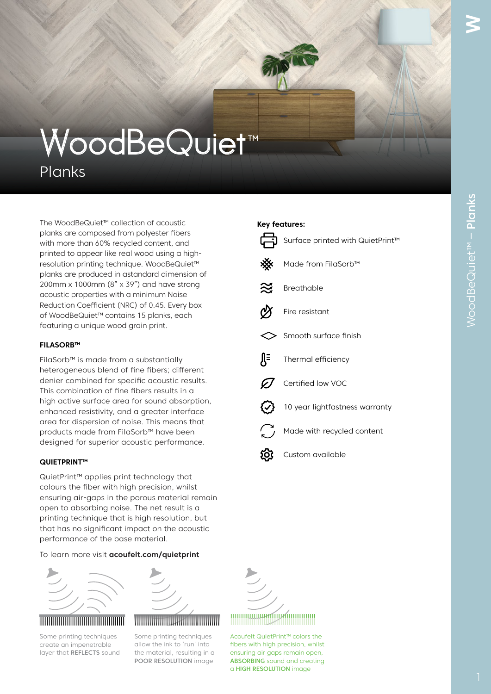# WoodBeQuiet™

Planks

The WoodBeQuiet™ collection of acoustic planks are composed from polyester fibers with more than 60% recycled content, and printed to appear like real wood using a highresolution printing technique. WoodBeQuiet™ planks are produced in astandard dimension of 200mm x 1000mm ( $8" \times 39"$ ) and have strong acoustic properties with a minimum Noise Reduction Coefficient (NRC) of 0.45. Every box of WoodBeQuiet™ contains 15 planks, each featuring a unique wood grain print.

### **FILASORB™**

FilaSorb™ is made from a substantially heterogeneous blend of fine fibers; different denier combined for specific acoustic results. This combination of fine fibers results in a high active surface area for sound absorption, enhanced resistivity, and a greater interface area for dispersion of noise. This means that products made from FilaSorb™ have been designed for superior acoustic performance.

### **QUIETPRINT™**

QuietPrint™ applies print technology that colours the fiber with high precision, whilst ensuring air-gaps in the porous material remain open to absorbing noise. The net result is a printing technique that is high resolution, but that has no significant impact on the acoustic performance of the base material.

To learn more visit **acoufelt.com/quietprint**



# PVC Backing PVC Backing PVC Backing

Some printing techniques create an impenetrable layer that REFLECTS sound



# 

Some printing techniques allow the ink to 'run' into the material, resulting in a POOR RESOLUTION image



Acoufelt QuietPrint<sup>™</sup> colors the fibers with high precision, whilst ensuring air gaps remain open, ABSORBING sound and creating a HIGH RESOLUTION image

# **Key features:**